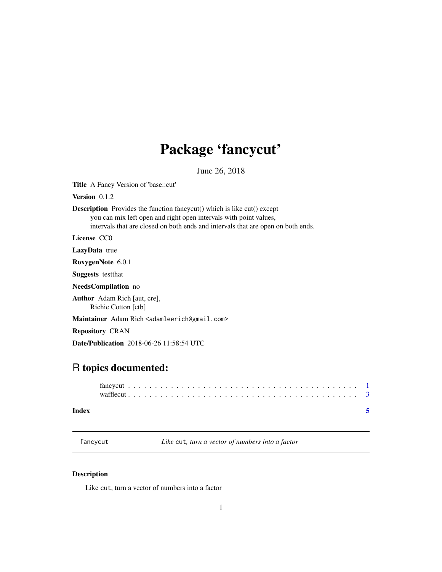## <span id="page-0-0"></span>Package 'fancycut'

June 26, 2018

Title A Fancy Version of 'base::cut'

Version 0.1.2

Description Provides the function fancycut() which is like cut() except you can mix left open and right open intervals with point values, intervals that are closed on both ends and intervals that are open on both ends.

License CC0

LazyData true

RoxygenNote 6.0.1

Suggests testthat

NeedsCompilation no

Author Adam Rich [aut, cre], Richie Cotton [ctb]

Maintainer Adam Rich <adamleerich@gmail.com>

Repository CRAN

Date/Publication 2018-06-26 11:58:54 UTC

### R topics documented:

#### **Index** [5](#page-4-0). The second state of the second state of the second state of the second state of the second state of the second state of the second state of the second state of the second state of the second state of the second

fancycut *Like* cut*, turn a vector of numbers into a factor*

#### Description

Like cut, turn a vector of numbers into a factor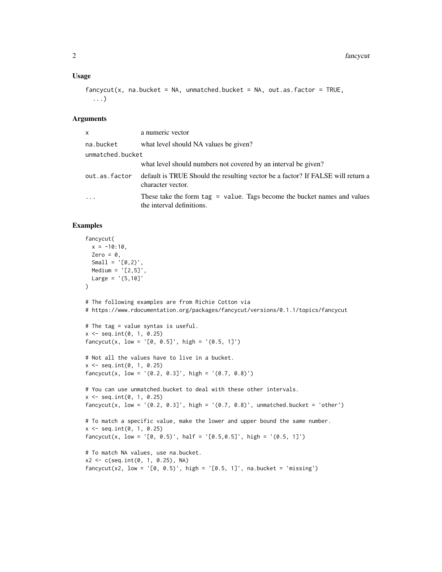#### Usage

```
fancycut(x, na.backet = NA, unmatched.backet = NA, out.as.factor = TRUE,...)
```
#### Arguments

| <b>X</b>         | a numeric vector                                                                                         |
|------------------|----------------------------------------------------------------------------------------------------------|
| na.bucket        | what level should NA values be given?                                                                    |
| unmatched.bucket |                                                                                                          |
|                  | what level should numbers not covered by an interval be given?                                           |
| out.as.factor    | default is TRUE Should the resulting vector be a factor? If FALSE will return a<br>character vector.     |
| $\ddots$ .       | These take the form $tag = value$ . Tags become the bucket names and values<br>the interval definitions. |

#### Examples

```
fancycut(
  x = -10:10,
  Zero = \theta,
  Small = '[0, 2)',
  Medium = '[2,5]',
 Large = '(5,10)'\lambda# The following examples are from Richie Cotton via
# https://www.rdocumentation.org/packages/fancycut/versions/0.1.1/topics/fancycut
# The tag = value syntax is useful.
x \le - seq.int(0, 1, 0.25)
fancycut(x, low = ' [0, 0.5]', high = '(0.5, 1]')
# Not all the values have to live in a bucket.
x <- seq.int(0, 1, 0.25)
fancycut(x, low = '(0.2, 0.3]', high = '(0.7, 0.8)')
# You can use unmatched.bucket to deal with these other intervals.
x \le - seq.int(0, 1, 0.25)
fancycut(x, low = '(0.2, 0.3]', high = '(0.7, 0.8)', unmatched.bucket = 'other')
# To match a specific value, make the lower and upper bound the same number.
x \le - seq.int(0, 1, 0.25)
fancycut(x, low = '[0, 0.5)', half = '[0.5,0.5]', high = '(0.5, 1]')
# To match NA values, use na.bucket.
x2 \leq c (seq.int(0, 1, 0.25), NA)
fancycut(x2, low = '[0, 0.5)', high = '[0.5, 1]', na.bucker = 'missing')
```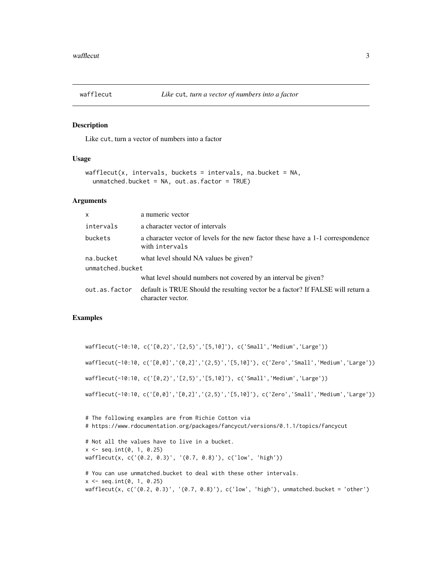<span id="page-2-0"></span>

#### Description

Like cut, turn a vector of numbers into a factor

#### Usage

```
wafflecut(x, intervals, buckets = intervals, n. bucket = NA,unmatched.bucket = NA, out.as.factor = TRUE)
```
#### Arguments

| $\mathsf{x}$     | a numeric vector                                                                                     |
|------------------|------------------------------------------------------------------------------------------------------|
| intervals        | a character vector of intervals                                                                      |
| buckets          | a character vector of levels for the new factor these have a 1-1 correspondence<br>with intervals    |
| na.bucket        | what level should NA values be given?                                                                |
| unmatched.bucket |                                                                                                      |
|                  | what level should numbers not covered by an interval be given?                                       |
| out.as.factor    | default is TRUE Should the resulting vector be a factor? If FALSE will return a<br>character vector. |

#### Examples

```
wafflecut(-10:10, c('[0,2)','[2,5)','[5,10]'), c('Small','Medium','Large'))
wafflecut(-10:10, c('[0,0]','(0,2]','(2,5)','[5,10]'), c('Zero','Small','Medium','Large'))
wafflecut(-10:10, c('[0,2)','[2,5)','[5,10]'), c('Small','Medium','Large'))
wafflecut(-10:10, c('[0,0]','[0,2]','(2,5)','[5,10]'), c('Zero','Small','Medium','Large'))
# The following examples are from Richie Cotton via
# https://www.rdocumentation.org/packages/fancycut/versions/0.1.1/topics/fancycut
# Not all the values have to live in a bucket.
x \leq - seq.int(0, 1, 0.25)
wafflecut(x, c('(0.2, 0.3)', '(0.7, 0.8)'), c('low', 'high'))
# You can use unmatched.bucket to deal with these other intervals.
x \le - seq.int(0, 1, 0.25)
wafflecut(x, c('(0.2, 0.3)', '(0.7, 0.8)'), c('low', 'high'), unmatched.bucket = 'other')
```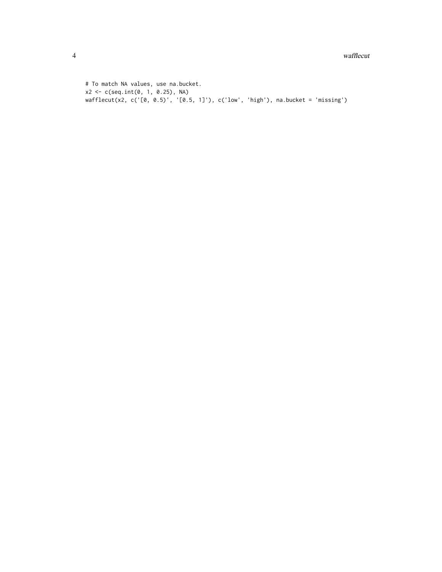# To match NA values, use na.bucket. x2 <- c(seq.int(0, 1, 0.25), NA) wafflecut(x2, c('[0, 0.5)', '[0.5, 1]'), c('low', 'high'), na.bucket = 'missing')